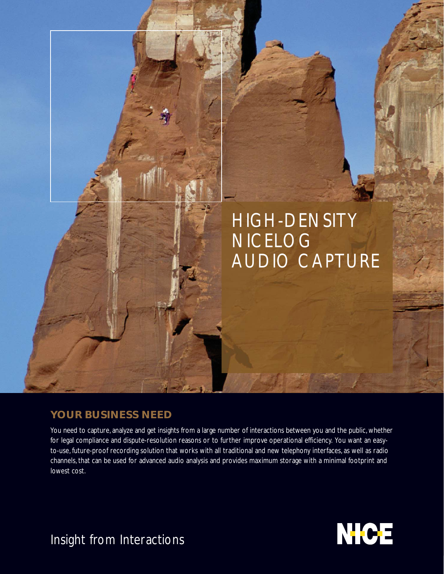# HIGH-DENSITY NICELOG AUDIO CAPTURE

# **YOUR BUSINESS NEED**

You need to capture, analyze and get insights from a large number of interactions between you and the public, whether for legal compliance and dispute-resolution reasons or to further improve operational efficiency. You want an easyto-use, future-proof recording solution that works with all traditional and new telephony interfaces, as well as radio channels, that can be used for advanced audio analysis and provides maximum storage with a minimal footprint and lowest cost.



Insight from Interactions